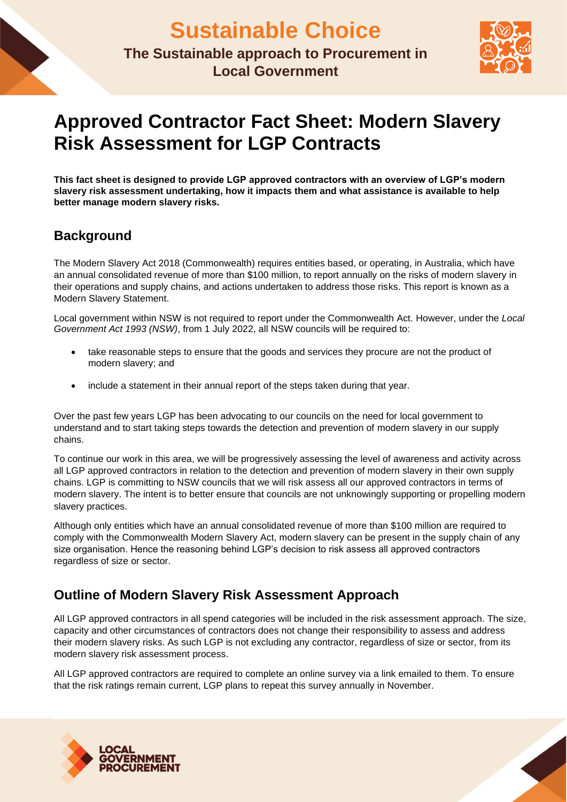

# **Approved Contractor Fact Sheet: Modern Slavery Risk Assessment for LGP Contracts**

**This fact sheet is designed to provide LGP approved contractors with an overview of LGP's modern slavery risk assessment undertaking, how it impacts them and what assistance is available to help better manage modern slavery risks.**

## **Background**

The Modern Slavery Act 2018 (Commonwealth) requires entities based, or operating, in Australia, which have an annual consolidated revenue of more than \$100 million, to report annually on the risks of modern slavery in their operations and supply chains, and actions undertaken to address those risks. This report is known as a Modern Slavery Statement.

Local government within NSW is not required to report under the Commonwealth Act. However, under the *Local Government Act 1993 (NSW)*, from 1 July 2022, all NSW councils will be required to:

- take reasonable steps to ensure that the goods and services they procure are not the product of modern slavery; and
- include a statement in their annual report of the steps taken during that year.

Over the past few years LGP has been advocating to our councils on the need for local government to understand and to start taking steps towards the detection and prevention of modern slavery in our supply chains.

To continue our work in this area, we will be progressively assessing the level of awareness and activity across all LGP approved contractors in relation to the detection and prevention of modern slavery in their own supply chains. LGP is committing to NSW councils that we will risk assess all our approved contractors in terms of modern slavery. The intent is to better ensure that councils are not unknowingly supporting or propelling modern slavery practices.

Although only entities which have an annual consolidated revenue of more than \$100 million are required to comply with the Commonwealth Modern Slavery Act, modern slavery can be present in the supply chain of any size organisation. Hence the reasoning behind LGP's decision to risk assess all approved contractors regardless of size or sector.

# **Outline of Modern Slavery Risk Assessment Approach**

All LGP approved contractors in all spend categories will be included in the risk assessment approach. The size, capacity and other circumstances of contractors does not change their responsibility to assess and address their modern slavery risks. As such LGP is not excluding any contractor, regardless of size or sector, from its modern slavery risk assessment process.

All LGP approved contractors are required to complete an online survey via a link emailed to them. To ensure that the risk ratings remain current, LGP plans to repeat this survey annually in November.



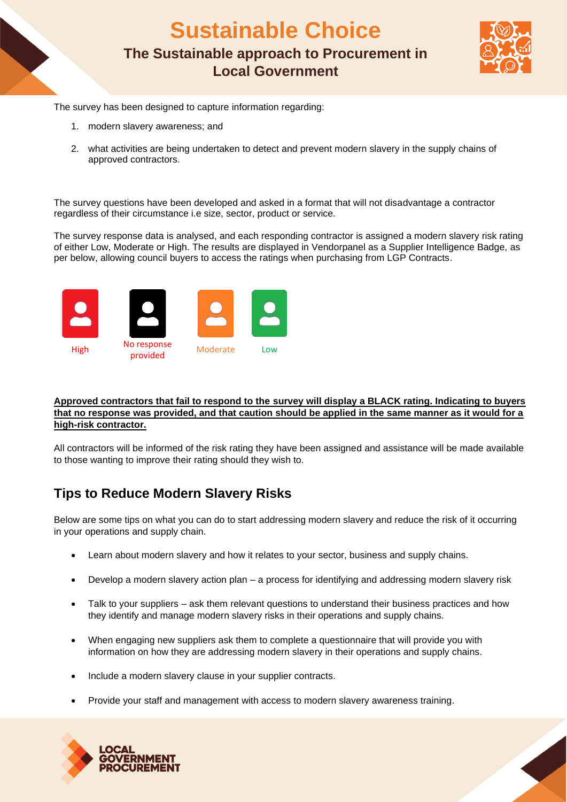**Sustainable Choice The Sustainable approach to Procurement in Local Government**



The survey has been designed to capture information regarding:

- 1. modern slavery awareness; and
- 2. what activities are being undertaken to detect and prevent modern slavery in the supply chains of approved contractors.

The survey questions have been developed and asked in a format that will not disadvantage a contractor regardless of their circumstance i.e size, sector, product or service.

The survey response data is analysed, and each responding contractor is assigned a modern slavery risk rating of either Low, Moderate or High. The results are displayed in Vendorpanel as a Supplier Intelligence Badge, as per below, allowing council buyers to access the ratings when purchasing from LGP Contracts.



#### **Approved contractors that fail to respond to the survey will display a BLACK rating. Indicating to buyers that no response was provided, and that caution should be applied in the same manner as it would for a high-risk contractor.**

All contractors will be informed of the risk rating they have been assigned and assistance will be made available to those wanting to improve their rating should they wish to.

### **Tips to Reduce Modern Slavery Risks**

Below are some tips on what you can do to start addressing modern slavery and reduce the risk of it occurring in your operations and supply chain.

- Learn about modern slavery and how it relates to your sector, business and supply chains.
- Develop a modern slavery action plan a process for identifying and addressing modern slavery risk
- Talk to your suppliers ask them relevant questions to understand their business practices and how they identify and manage modern slavery risks in their operations and supply chains.
- When engaging new suppliers ask them to complete a questionnaire that will provide you with information on how they are addressing modern slavery in their operations and supply chains.
- Include a modern slavery clause in your supplier contracts.
- Provide your staff and management with access to modern slavery awareness training.